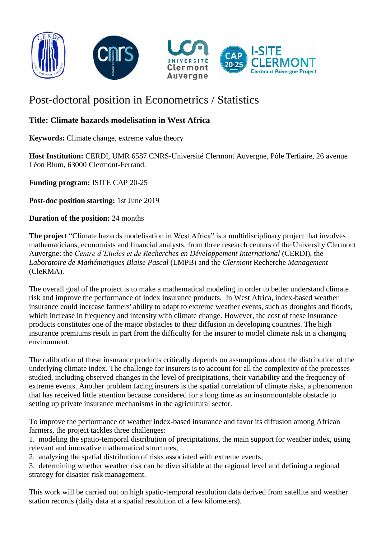

## Post-doctoral position in Econometrics / Statistics

## **Title: Climate hazards modelisation in West Africa**

**Keywords:** Climate change, extreme value theory

**Host Institution:** CERDI, UMR 6587 CNRS-Université Clermont Auvergne, Pôle Tertiaire, 26 avenue Léon Blum, 63000 Clermont-Ferrand.

**Funding program:** ISITE CAP 20-25

**Post-doc position starting:** 1st June 2019

**Duration of the position:** 24 months

**The project** "Climate hazards modelisation in West Africa" is a multidisciplinary project that involves mathematicians, economists and financial analysts, from three research centers of the University Clermont Auvergne: the *Centre d'Etudes et de Recherches en Développement International* (CERDI), the *Laboratoire de Mathématiques Blaise Pascal* (LMPB) and the *Clermont* Recherche *Management* (CleRMA).

The overall goal of the project is to make a mathematical modeling in order to better understand climate risk and improve the performance of index insurance products. In West Africa, index-based weather insurance could increase farmers' ability to adapt to extreme weather events, such as droughts and floods, which increase in frequency and intensity with climate change. However, the cost of these insurance products constitutes one of the major obstacles to their diffusion in developing countries. The high insurance premiums result in part from the difficulty for the insurer to model climate risk in a changing environment.

The calibration of these insurance products critically depends on assumptions about the distribution of the underlying climate index. The challenge for insurers is to account for all the complexity of the processes studied, including observed changes in the level of precipitations, their variability and the frequency of extreme events. Another problem facing insurers is the spatial correlation of climate risks, a phenomenon that has received little attention because considered for a long time as an insurmountable obstacle to setting up private insurance mechanisms in the agricultural sector.

To improve the performance of weather index-based insurance and favor its diffusion among African farmers, the project tackles three challenges:

1. modeling the spatio-temporal distribution of precipitations, the main support for weather index, using relevant and innovative mathematical structures;

2. analyzing the spatial distribution of risks associated with extreme events;

3. determining whether weather risk can be diversifiable at the regional level and defining a regional strategy for disaster risk management.

This work will be carried out on high spatio*-*temporal resolution data derived from satellite and weather station records (daily data at a spatial resolution of a few kilometers).